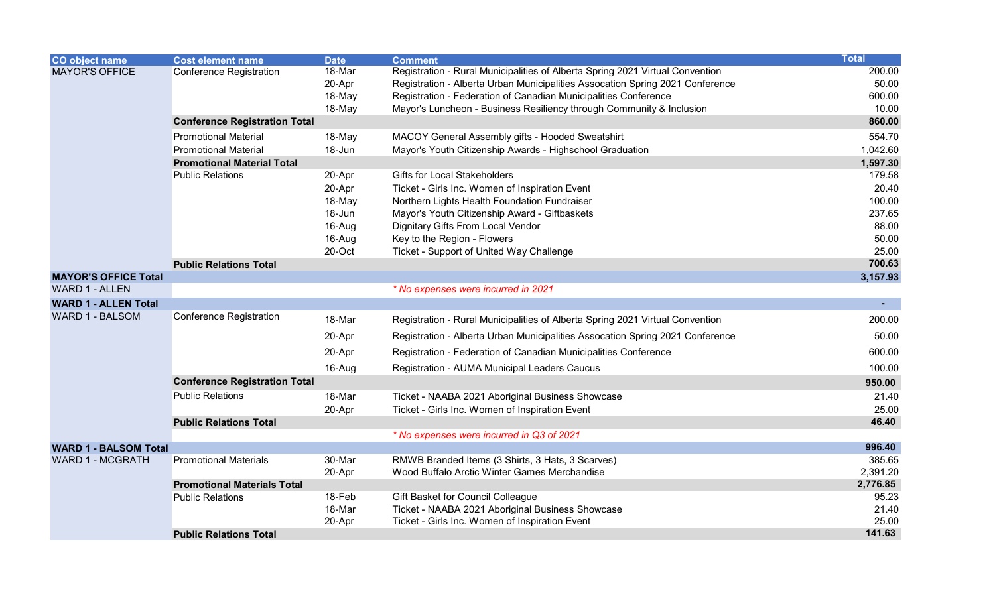| CO object name               | <b>Cost element name</b>             | <b>Date</b> | <b>Comment</b>                                                                | <b>Total</b> |
|------------------------------|--------------------------------------|-------------|-------------------------------------------------------------------------------|--------------|
| <b>MAYOR'S OFFICE</b>        | <b>Conference Registration</b>       | 18-Mar      | Registration - Rural Municipalities of Alberta Spring 2021 Virtual Convention | 200.00       |
|                              |                                      | 20-Apr      | Registration - Alberta Urban Municipalities Assocation Spring 2021 Conference | 50.00        |
|                              |                                      | 18-May      | Registration - Federation of Canadian Municipalities Conference               | 600.00       |
|                              |                                      | 18-May      | Mayor's Luncheon - Business Resiliency through Community & Inclusion          | 10.00        |
|                              | <b>Conference Registration Total</b> |             |                                                                               | 860.00       |
|                              | <b>Promotional Material</b>          | 18-May      | MACOY General Assembly gifts - Hooded Sweatshirt                              | 554.70       |
|                              | <b>Promotional Material</b>          | 18-Jun      | Mayor's Youth Citizenship Awards - Highschool Graduation                      | 1,042.60     |
|                              | <b>Promotional Material Total</b>    |             |                                                                               | 1,597.30     |
|                              | <b>Public Relations</b>              | 20-Apr      | <b>Gifts for Local Stakeholders</b>                                           | 179.58       |
|                              |                                      | 20-Apr      | Ticket - Girls Inc. Women of Inspiration Event                                | 20.40        |
|                              |                                      | 18-May      | Northern Lights Health Foundation Fundraiser                                  | 100.00       |
|                              |                                      | 18-Jun      | Mayor's Youth Citizenship Award - Giftbaskets                                 | 237.65       |
|                              |                                      | 16-Aug      | Dignitary Gifts From Local Vendor                                             | 88.00        |
|                              |                                      | 16-Aug      | Key to the Region - Flowers                                                   | 50.00        |
|                              |                                      | 20-Oct      | Ticket - Support of United Way Challenge                                      | 25.00        |
|                              | <b>Public Relations Total</b>        |             |                                                                               | 700.63       |
| <b>MAYOR'S OFFICE Total</b>  |                                      |             |                                                                               | 3,157.93     |
| <b>WARD 1 - ALLEN</b>        |                                      |             | * No expenses were incurred in 2021                                           |              |
| <b>WARD 1 - ALLEN Total</b>  |                                      |             |                                                                               | $\sim 100$   |
| <b>WARD 1 - BALSOM</b>       | Conference Registration              | 18-Mar      | Registration - Rural Municipalities of Alberta Spring 2021 Virtual Convention | 200.00       |
|                              |                                      | 20-Apr      | Registration - Alberta Urban Municipalities Assocation Spring 2021 Conference | 50.00        |
|                              |                                      | 20-Apr      | Registration - Federation of Canadian Municipalities Conference               | 600.00       |
|                              |                                      | 16-Aug      | Registration - AUMA Municipal Leaders Caucus                                  | 100.00       |
|                              | <b>Conference Registration Total</b> |             |                                                                               | 950.00       |
|                              | <b>Public Relations</b>              | 18-Mar      | Ticket - NAABA 2021 Aboriginal Business Showcase                              | 21.40        |
|                              |                                      | 20-Apr      | Ticket - Girls Inc. Women of Inspiration Event                                | 25.00        |
|                              | <b>Public Relations Total</b>        |             |                                                                               | 46.40        |
|                              |                                      |             | * No expenses were incurred in Q3 of 2021                                     |              |
| <b>WARD 1 - BALSOM Total</b> |                                      |             |                                                                               | 996.40       |
| <b>WARD 1 - MCGRATH</b>      | <b>Promotional Materials</b>         | 30-Mar      | RMWB Branded Items (3 Shirts, 3 Hats, 3 Scarves)                              | 385.65       |
|                              |                                      | 20-Apr      | Wood Buffalo Arctic Winter Games Merchandise                                  | 2,391.20     |
|                              | <b>Promotional Materials Total</b>   |             |                                                                               | 2,776.85     |
|                              | <b>Public Relations</b>              | 18-Feb      | Gift Basket for Council Colleague                                             | 95.23        |
|                              |                                      | 18-Mar      | Ticket - NAABA 2021 Aboriginal Business Showcase                              | 21.40        |
|                              |                                      | 20-Apr      | Ticket - Girls Inc. Women of Inspiration Event                                | 25.00        |
|                              | <b>Public Relations Total</b>        |             |                                                                               | 141.63       |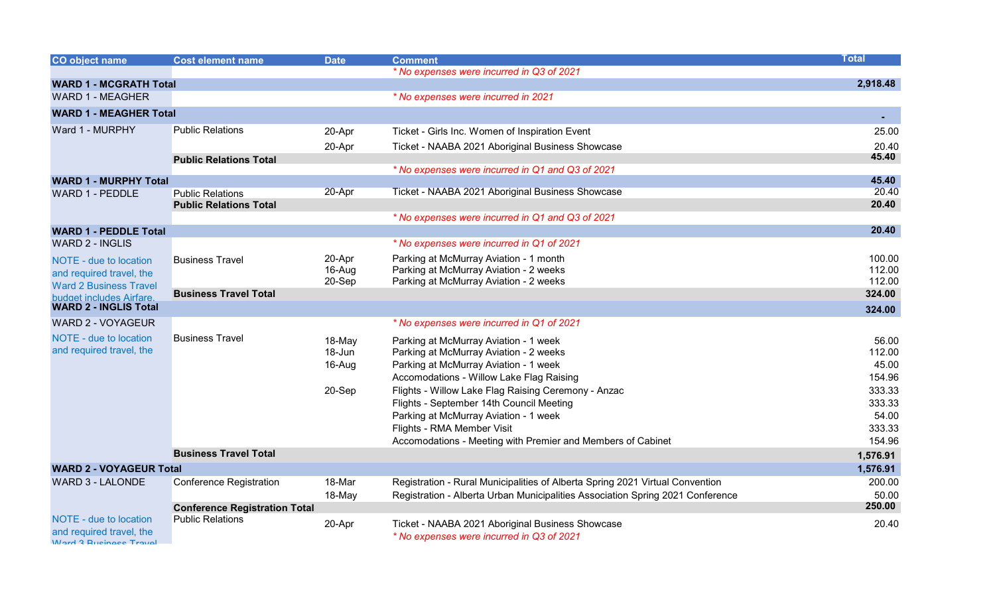| CO object name                                            | <b>Cost element name</b>                                        | <b>Date</b> | <b>Comment</b>                                                                 | <b>Total</b> |
|-----------------------------------------------------------|-----------------------------------------------------------------|-------------|--------------------------------------------------------------------------------|--------------|
|                                                           |                                                                 |             | * No expenses were incurred in Q3 of 2021                                      |              |
| <b>WARD 1 - MCGRATH Total</b>                             |                                                                 |             |                                                                                | 2,918.48     |
| <b>WARD 1 - MEAGHER</b>                                   |                                                                 |             | * No expenses were incurred in 2021                                            |              |
| <b>WARD 1 - MEAGHER Total</b>                             |                                                                 |             |                                                                                |              |
| Ward 1 - MURPHY                                           | <b>Public Relations</b>                                         | 20-Apr      | Ticket - Girls Inc. Women of Inspiration Event                                 | 25.00        |
|                                                           |                                                                 | 20-Apr      | Ticket - NAABA 2021 Aboriginal Business Showcase                               | 20.40        |
|                                                           | <b>Public Relations Total</b>                                   |             |                                                                                | 45.40        |
|                                                           |                                                                 |             | * No expenses were incurred in Q1 and Q3 of 2021                               | 45.40        |
| <b>WARD 1 - MURPHY Total</b><br><b>WARD 1 - PEDDLE</b>    | <b>Public Relations</b>                                         | 20-Apr      | Ticket - NAABA 2021 Aboriginal Business Showcase                               | 20.40        |
|                                                           | <b>Public Relations Total</b>                                   |             |                                                                                | 20.40        |
|                                                           |                                                                 |             | * No expenses were incurred in Q1 and Q3 of 2021                               |              |
| <b>WARD 1 - PEDDLE Total</b>                              |                                                                 |             |                                                                                | 20.40        |
| <b>WARD 2 - INGLIS</b>                                    |                                                                 |             | * No expenses were incurred in Q1 of 2021                                      |              |
| NOTE - due to location                                    | <b>Business Travel</b>                                          | 20-Apr      | Parking at McMurray Aviation - 1 month                                         | 100.00       |
| and required travel, the                                  |                                                                 | 16-Aug      | Parking at McMurray Aviation - 2 weeks                                         | 112.00       |
| <b>Ward 2 Business Travel</b>                             |                                                                 | 20-Sep      | Parking at McMurray Aviation - 2 weeks                                         | 112.00       |
| budget includes Airfare.                                  | <b>Business Travel Total</b>                                    |             |                                                                                | 324.00       |
| <b>WARD 2 - INGLIS Total</b>                              |                                                                 |             |                                                                                | 324.00       |
| <b>WARD 2 - VOYAGEUR</b>                                  |                                                                 |             | * No expenses were incurred in Q1 of 2021                                      |              |
| NOTE - due to location                                    | <b>Business Travel</b>                                          | 18-May      | Parking at McMurray Aviation - 1 week                                          | 56.00        |
| and required travel, the                                  |                                                                 | 18-Jun      | Parking at McMurray Aviation - 2 weeks                                         | 112.00       |
|                                                           |                                                                 | 16-Aug      | Parking at McMurray Aviation - 1 week                                          | 45.00        |
|                                                           |                                                                 |             | Accomodations - Willow Lake Flag Raising                                       | 154.96       |
|                                                           |                                                                 | 20-Sep      | Flights - Willow Lake Flag Raising Ceremony - Anzac                            | 333.33       |
|                                                           |                                                                 |             | Flights - September 14th Council Meeting                                       | 333.33       |
|                                                           |                                                                 |             | Parking at McMurray Aviation - 1 week                                          | 54.00        |
|                                                           |                                                                 |             | Flights - RMA Member Visit                                                     | 333.33       |
|                                                           |                                                                 |             | Accomodations - Meeting with Premier and Members of Cabinet                    | 154.96       |
|                                                           | <b>Business Travel Total</b>                                    |             |                                                                                | 1,576.91     |
| <b>WARD 2 - VOYAGEUR Total</b>                            |                                                                 |             |                                                                                | 1,576.91     |
| <b>WARD 3 - LALONDE</b>                                   | <b>Conference Registration</b>                                  | 18-Mar      | Registration - Rural Municipalities of Alberta Spring 2021 Virtual Convention  | 200.00       |
|                                                           |                                                                 | 18-May      | Registration - Alberta Urban Municipalities Association Spring 2021 Conference | 50.00        |
|                                                           | <b>Conference Registration Total</b><br><b>Public Relations</b> |             |                                                                                | 250,00       |
| NOTE - due to location                                    |                                                                 | 20-Apr      | Ticket - NAABA 2021 Aboriginal Business Showcase                               | 20.40        |
| and required travel, the<br><b>Ward 3 Rueingee Travel</b> |                                                                 |             | * No expenses were incurred in Q3 of 2021                                      |              |